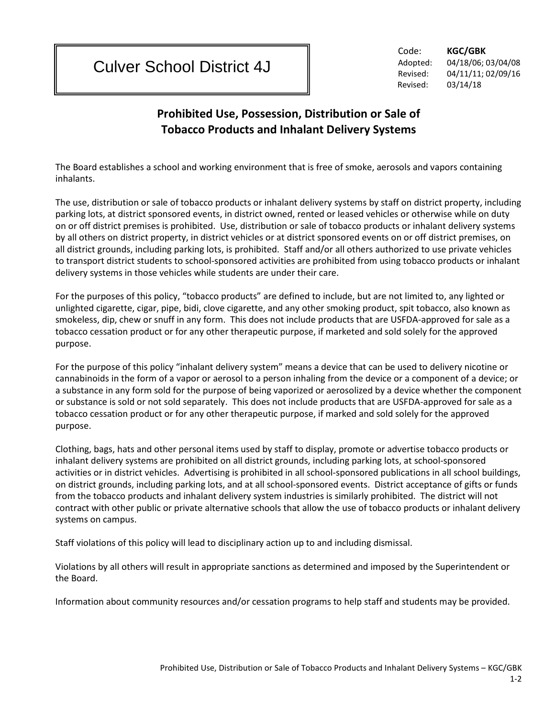## Culver School District 4J

Code: **KGC/GBK** Adopted: 04/18/06; 03/04/08 Revised: 04/11/11; 02/09/16 Revised: 03/14/18

## **Prohibited Use, Possession, Distribution or Sale of Tobacco Products and Inhalant Delivery Systems**

The Board establishes a school and working environment that is free of smoke, aerosols and vapors containing inhalants.

The use, distribution or sale of tobacco products or inhalant delivery systems by staff on district property, including parking lots, at district sponsored events, in district owned, rented or leased vehicles or otherwise while on duty on or off district premises is prohibited. Use, distribution or sale of tobacco products or inhalant delivery systems by all others on district property, in district vehicles or at district sponsored events on or off district premises, on all district grounds, including parking lots, is prohibited. Staff and/or all others authorized to use private vehicles to transport district students to school-sponsored activities are prohibited from using tobacco products or inhalant delivery systems in those vehicles while students are under their care.

For the purposes of this policy, "tobacco products" are defined to include, but are not limited to, any lighted or unlighted cigarette, cigar, pipe, bidi, clove cigarette, and any other smoking product, spit tobacco, also known as smokeless, dip, chew or snuff in any form. This does not include products that are USFDA-approved for sale as a tobacco cessation product or for any other therapeutic purpose, if marketed and sold solely for the approved purpose.

For the purpose of this policy "inhalant delivery system" means a device that can be used to delivery nicotine or cannabinoids in the form of a vapor or aerosol to a person inhaling from the device or a component of a device; or a substance in any form sold for the purpose of being vaporized or aerosolized by a device whether the component or substance is sold or not sold separately. This does not include products that are USFDA-approved for sale as a tobacco cessation product or for any other therapeutic purpose, if marked and sold solely for the approved purpose.

Clothing, bags, hats and other personal items used by staff to display, promote or advertise tobacco products or inhalant delivery systems are prohibited on all district grounds, including parking lots, at school-sponsored activities or in district vehicles. Advertising is prohibited in all school-sponsored publications in all school buildings, on district grounds, including parking lots, and at all school-sponsored events. District acceptance of gifts or funds from the tobacco products and inhalant delivery system industries is similarly prohibited. The district will not contract with other public or private alternative schools that allow the use of tobacco products or inhalant delivery systems on campus.

Staff violations of this policy will lead to disciplinary action up to and including dismissal.

Violations by all others will result in appropriate sanctions as determined and imposed by the Superintendent or the Board.

Information about community resources and/or cessation programs to help staff and students may be provided.